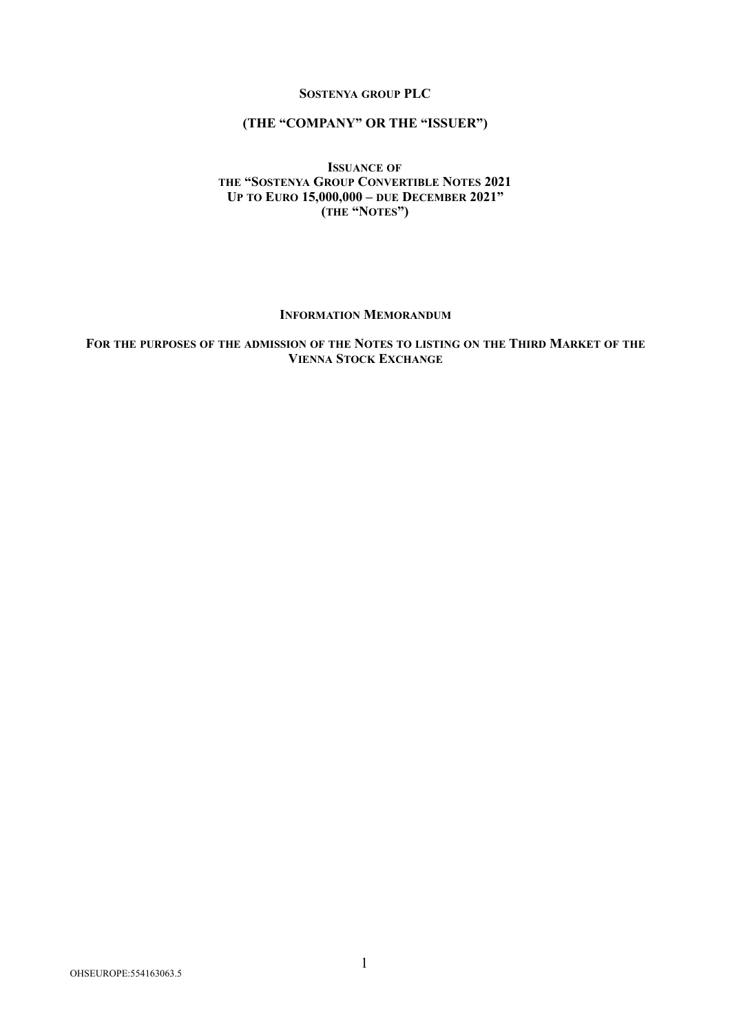### **SOSTENYA GROUP PLC**

# **(THE "COMPANY" OR THE "ISSUER")**

### **ISSUANCE OF THE "SOSTENYA GROUP CONVERTIBLE NOTES 2021 UP TO EURO 15,000,000 – DUE DECEMBER 2021" (THE "NOTES")**

#### **INFORMATION MEMORANDUM**

**FOR THE PURPOSES OF THE ADMISSION OF THE NOTES TO LISTING ON THE THIRD MARKET OF THE VIENNA STOCK EXCHANGE**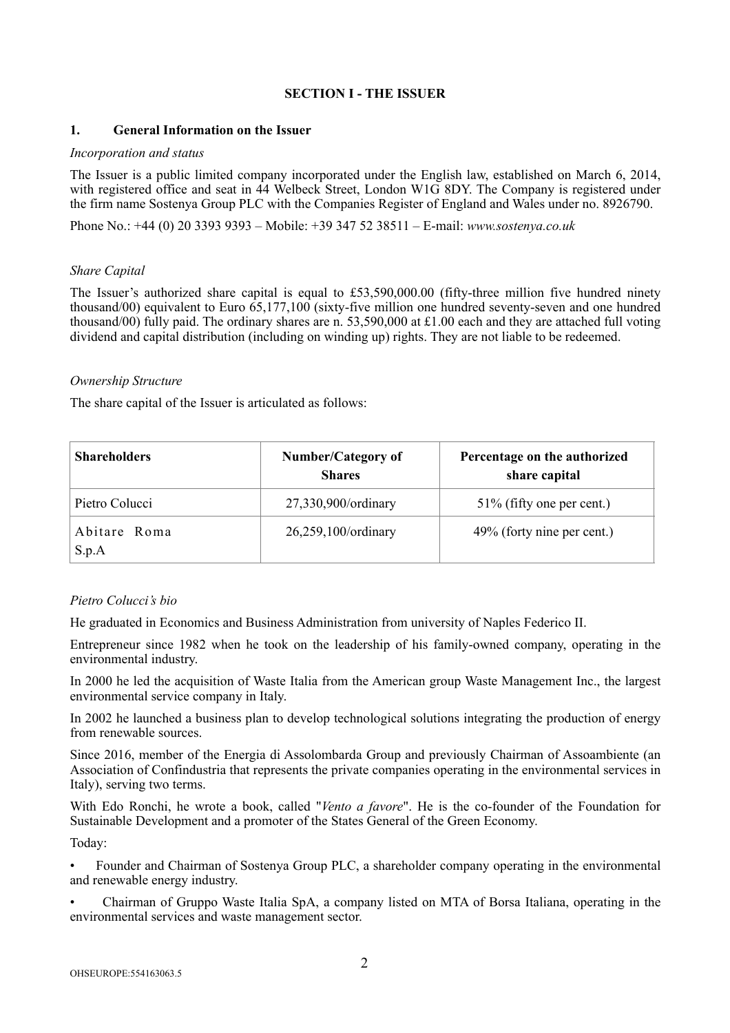# **SECTION I - THE ISSUER**

### **1. General Information on the Issuer**

# *Incorporation and status*

The Issuer is a public limited company incorporated under the English law, established on March 6, 2014, with registered office and seat in 44 Welbeck Street, London W1G 8DY. The Company is registered under the firm name Sostenya Group PLC with the Companies Register of England and Wales under no. 8926790.

Phone No.: +44 (0) 20 3393 9393 – Mobile: +39 347 52 38511 – E-mail: *www.sostenya.co.uk*

# *Share Capital*

The Issuer's authorized share capital is equal to £53,590,000.00 (fifty-three million five hundred ninety thousand/00) equivalent to Euro 65,177,100 (sixty-five million one hundred seventy-seven and one hundred thousand/00) fully paid. The ordinary shares are n. 53,590,000 at £1.00 each and they are attached full voting dividend and capital distribution (including on winding up) rights. They are not liable to be redeemed.

### *Ownership Structure*

The share capital of the Issuer is articulated as follows:

| <b>Shareholders</b>   | <b>Number/Category of</b><br><b>Shares</b> | Percentage on the authorized<br>share capital |
|-----------------------|--------------------------------------------|-----------------------------------------------|
| Pietro Colucci        | 27,330,900/ordinary                        | $51\%$ (fifty one per cent.)                  |
| Abitare Roma<br>S.p.A | 26,259,100/ordinary                        | 49% (forty nine per cent.)                    |

# *Pietro Colucci's bio*

He graduated in Economics and Business Administration from university of Naples Federico II.

Entrepreneur since 1982 when he took on the leadership of his family-owned company, operating in the environmental industry.

In 2000 he led the acquisition of Waste Italia from the American group Waste Management Inc., the largest environmental service company in Italy.

In 2002 he launched a business plan to develop technological solutions integrating the production of energy from renewable sources.

Since 2016, member of the Energia di Assolombarda Group and previously Chairman of Assoambiente (an Association of Confindustria that represents the private companies operating in the environmental services in Italy), serving two terms.

With Edo Ronchi, he wrote a book, called "*Vento a favore*". He is the co-founder of the Foundation for Sustainable Development and a promoter of the States General of the Green Economy.

Today:

• Founder and Chairman of Sostenya Group PLC, a shareholder company operating in the environmental and renewable energy industry.

• Chairman of Gruppo Waste Italia SpA, a company listed on MTA of Borsa Italiana, operating in the environmental services and waste management sector.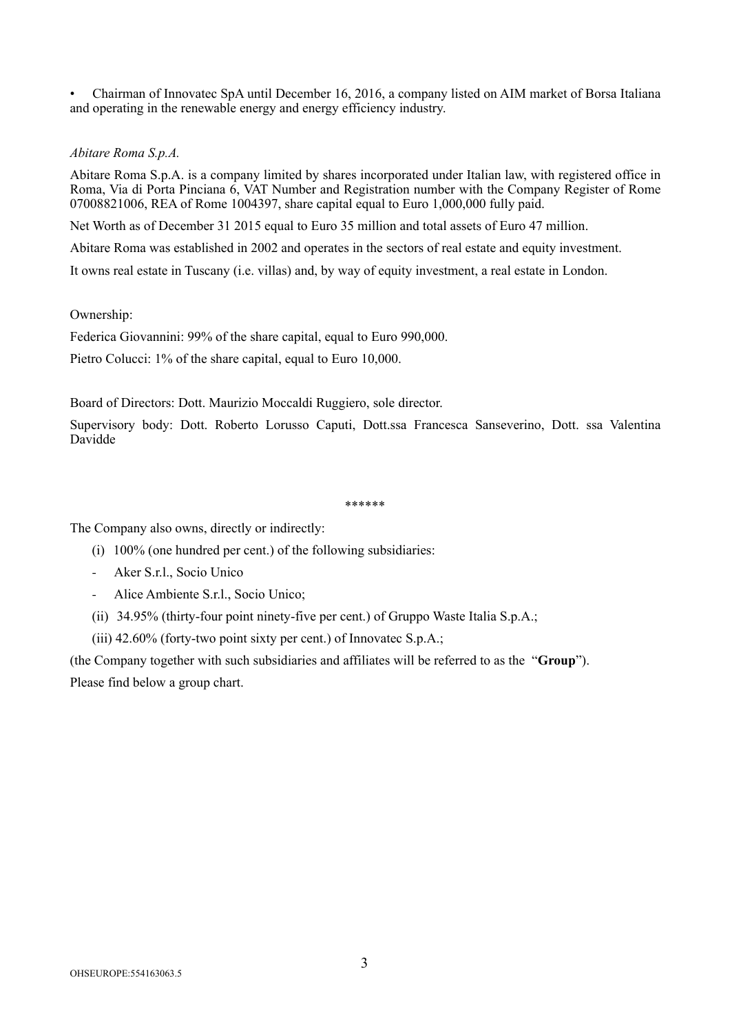• Chairman of Innovatec SpA until December 16, 2016, a company listed on AIM market of Borsa Italiana and operating in the renewable energy and energy efficiency industry.

# *Abitare Roma S.p.A.*

Abitare Roma S.p.A. is a company limited by shares incorporated under Italian law, with registered office in Roma, Via di Porta Pinciana 6, VAT Number and Registration number with the Company Register of Rome 07008821006, REA of Rome 1004397, share capital equal to Euro 1,000,000 fully paid.

Net Worth as of December 31 2015 equal to Euro 35 million and total assets of Euro 47 million.

Abitare Roma was established in 2002 and operates in the sectors of real estate and equity investment.

It owns real estate in Tuscany (i.e. villas) and, by way of equity investment, a real estate in London.

### Ownership:

Federica Giovannini: 99% of the share capital, equal to Euro 990,000.

Pietro Colucci: 1% of the share capital, equal to Euro 10,000.

Board of Directors: Dott. Maurizio Moccaldi Ruggiero, sole director.

Supervisory body: Dott. Roberto Lorusso Caputi, Dott.ssa Francesca Sanseverino, Dott. ssa Valentina Davidde

#### \*\*\*\*\*\*

The Company also owns, directly or indirectly:

- (i) 100% (one hundred per cent.) of the following subsidiaries:
- Aker S.r.l., Socio Unico
- Alice Ambiente S.r.l., Socio Unico;
- (ii) 34.95% (thirty-four point ninety-five per cent.) of Gruppo Waste Italia S.p.A.;

(iii) 42.60% (forty-two point sixty per cent.) of Innovatec S.p.A.;

(the Company together with such subsidiaries and affiliates will be referred to as the "**Group**"). Please find below a group chart.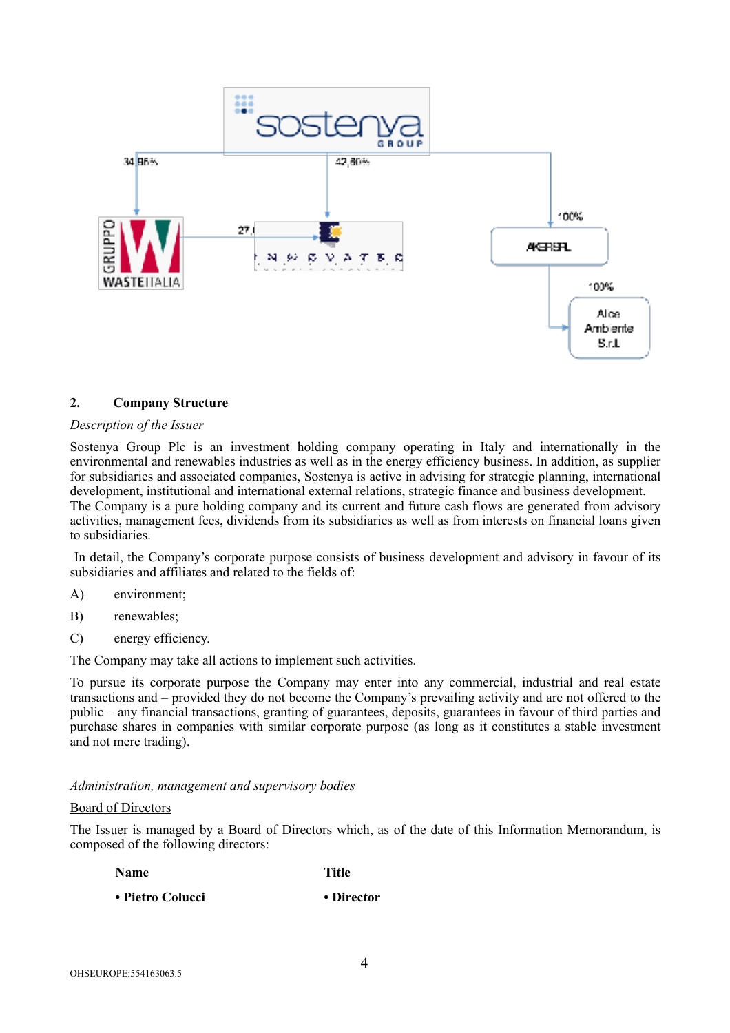

# **2. Company Structure**

#### *Description of the Issuer*

Sostenya Group Plc is an investment holding company operating in Italy and internationally in the environmental and renewables industries as well as in the energy efficiency business. In addition, as supplier for subsidiaries and associated companies, Sostenya is active in advising for strategic planning, international development, institutional and international external relations, strategic finance and business development. The Company is a pure holding company and its current and future cash flows are generated from advisory activities, management fees, dividends from its subsidiaries as well as from interests on financial loans given to subsidiaries.

 In detail, the Company's corporate purpose consists of business development and advisory in favour of its subsidiaries and affiliates and related to the fields of:

- A) environment;
- B) renewables;
- C) energy efficiency.

The Company may take all actions to implement such activities.

To pursue its corporate purpose the Company may enter into any commercial, industrial and real estate transactions and – provided they do not become the Company's prevailing activity and are not offered to the public – any financial transactions, granting of guarantees, deposits, guarantees in favour of third parties and purchase shares in companies with similar corporate purpose (as long as it constitutes a stable investment and not mere trading).

#### *Administration, management and supervisory bodies*

#### Board of Directors

The Issuer is managed by a Board of Directors which, as of the date of this Information Memorandum, is composed of the following directors:

| Name             | <b>Title</b> |  |
|------------------|--------------|--|
| • Pietro Colucci | • Director   |  |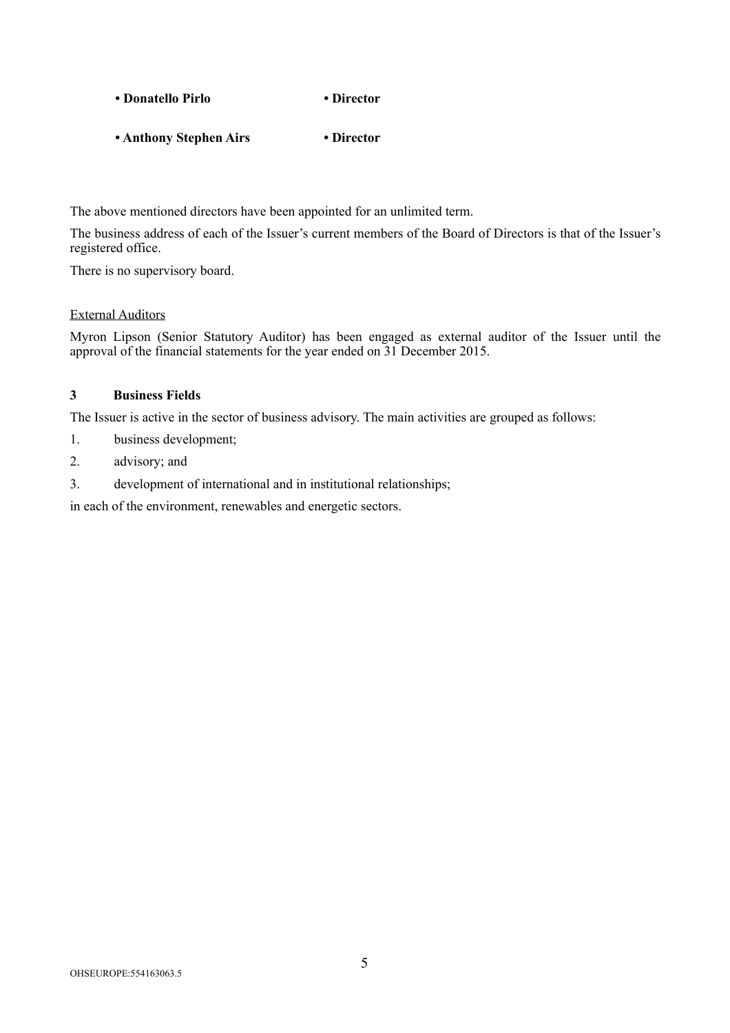| • Donatello Pirlo | • Director |
|-------------------|------------|
|-------------------|------------|

**• Anthony Stephen Airs • Director** 

The above mentioned directors have been appointed for an unlimited term.

The business address of each of the Issuer's current members of the Board of Directors is that of the Issuer's registered office.

There is no supervisory board.

# External Auditors

Myron Lipson (Senior Statutory Auditor) has been engaged as external auditor of the Issuer until the approval of the financial statements for the year ended on 31 December 2015.

# **3 Business Fields**

The Issuer is active in the sector of business advisory. The main activities are grouped as follows:

- 1. business development;
- 2. advisory; and
- 3. development of international and in institutional relationships;

in each of the environment, renewables and energetic sectors.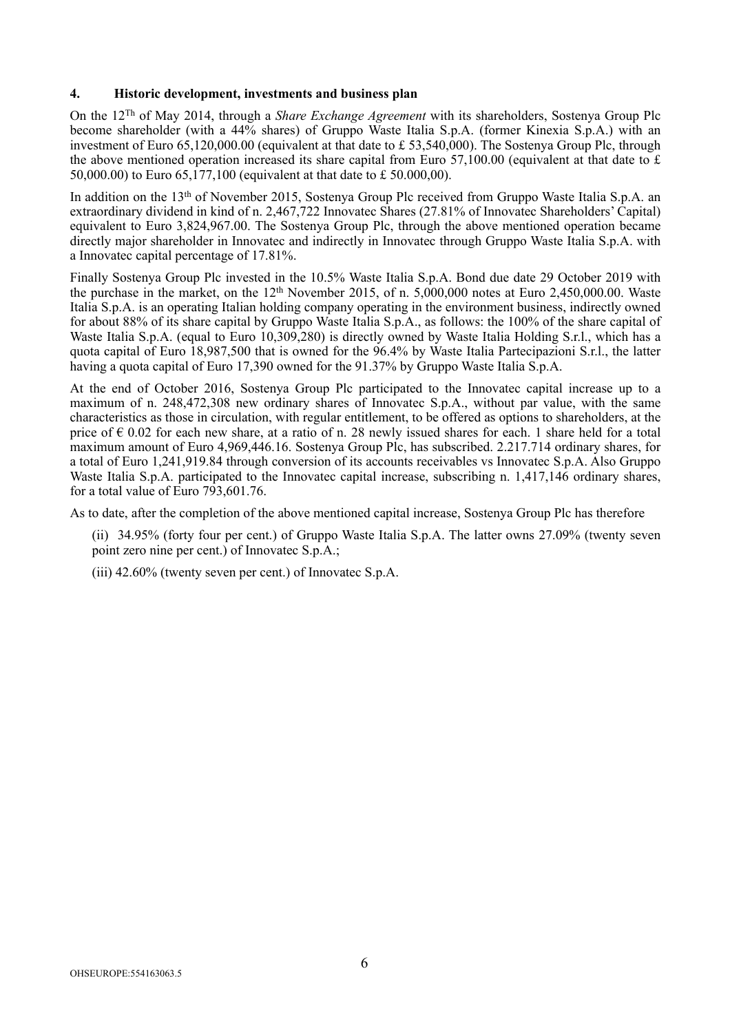### **4. Historic development, investments and business plan**

On the 12Th of May 2014, through a *Share Exchange Agreement* with its shareholders, Sostenya Group Plc become shareholder (with a 44% shares) of Gruppo Waste Italia S.p.A. (former Kinexia S.p.A.) with an investment of Euro 65,120,000.00 (equivalent at that date to £ 53,540,000). The Sostenya Group Plc, through the above mentioned operation increased its share capital from Euro 57,100.00 (equivalent at that date to  $\pounds$ 50,000.00) to Euro 65,177,100 (equivalent at that date to £ 50.000,00).

In addition on the 13th of November 2015, Sostenya Group Plc received from Gruppo Waste Italia S.p.A. an extraordinary dividend in kind of n. 2,467,722 Innovatec Shares (27.81% of Innovatec Shareholders' Capital) equivalent to Euro 3,824,967.00. The Sostenya Group Plc, through the above mentioned operation became directly major shareholder in Innovatec and indirectly in Innovatec through Gruppo Waste Italia S.p.A. with a Innovatec capital percentage of 17.81%.

Finally Sostenya Group Plc invested in the 10.5% Waste Italia S.p.A. Bond due date 29 October 2019 with the purchase in the market, on the  $12<sup>th</sup>$  November 2015, of n. 5,000,000 notes at Euro 2,450,000.00. Waste Italia S.p.A. is an operating Italian holding company operating in the environment business, indirectly owned for about 88% of its share capital by Gruppo Waste Italia S.p.A., as follows: the 100% of the share capital of Waste Italia S.p.A. (equal to Euro 10,309,280) is directly owned by Waste Italia Holding S.r.l., which has a quota capital of Euro 18,987,500 that is owned for the 96.4% by Waste Italia Partecipazioni S.r.l., the latter having a quota capital of Euro 17,390 owned for the 91.37% by Gruppo Waste Italia S.p.A.

At the end of October 2016, Sostenya Group Plc participated to the Innovatec capital increase up to a maximum of n. 248,472,308 new ordinary shares of Innovatec S.p.A., without par value, with the same characteristics as those in circulation, with regular entitlement, to be offered as options to shareholders, at the price of € 0.02 for each new share, at a ratio of n. 28 newly issued shares for each. 1 share held for a total maximum amount of Euro 4,969,446.16. Sostenya Group Plc, has subscribed. 2.217.714 ordinary shares, for a total of Euro 1,241,919.84 through conversion of its accounts receivables vs Innovatec S.p.A. Also Gruppo Waste Italia S.p.A. participated to the Innovatec capital increase, subscribing n. 1,417,146 ordinary shares, for a total value of Euro 793,601.76.

As to date, after the completion of the above mentioned capital increase, Sostenya Group Plc has therefore

- (ii) 34.95% (forty four per cent.) of Gruppo Waste Italia S.p.A. The latter owns 27.09% (twenty seven point zero nine per cent.) of Innovatec S.p.A.;
- (iii) 42.60% (twenty seven per cent.) of Innovatec S.p.A.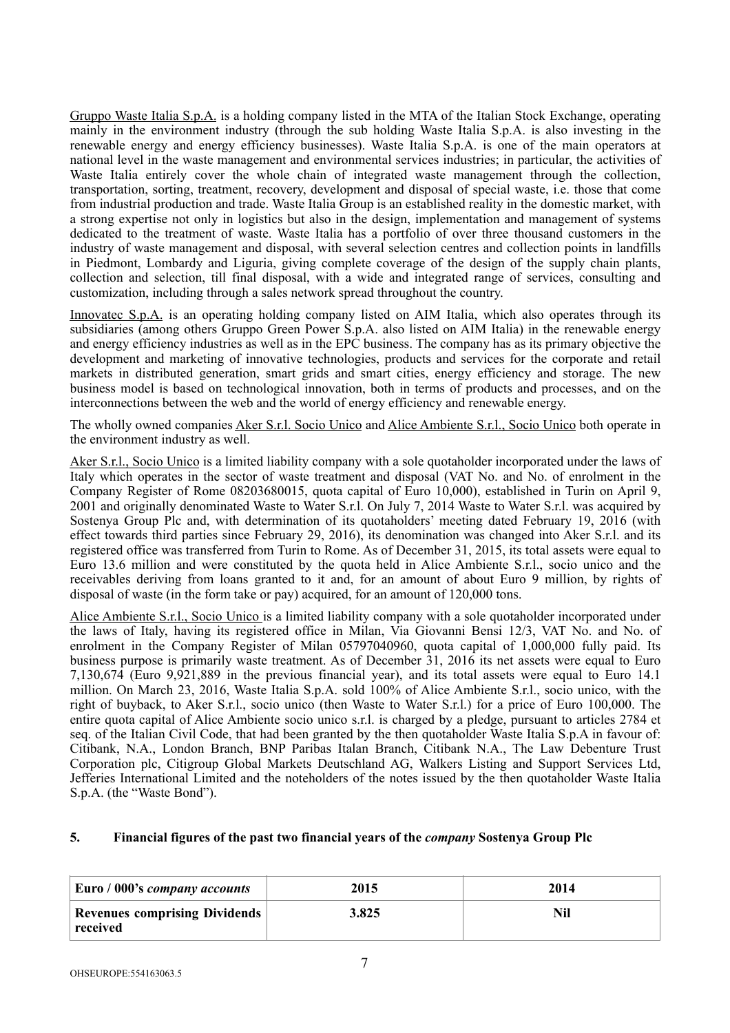Gruppo Waste Italia S.p.A. is a holding company listed in the MTA of the Italian Stock Exchange, operating mainly in the environment industry (through the sub holding Waste Italia S.p.A. is also investing in the renewable energy and energy efficiency businesses). Waste Italia S.p.A. is one of the main operators at national level in the waste management and environmental services industries; in particular, the activities of Waste Italia entirely cover the whole chain of integrated waste management through the collection, transportation, sorting, treatment, recovery, development and disposal of special waste, i.e. those that come from industrial production and trade. Waste Italia Group is an established reality in the domestic market, with a strong expertise not only in logistics but also in the design, implementation and management of systems dedicated to the treatment of waste. Waste Italia has a portfolio of over three thousand customers in the industry of waste management and disposal, with several selection centres and collection points in landfills in Piedmont, Lombardy and Liguria, giving complete coverage of the design of the supply chain plants, collection and selection, till final disposal, with a wide and integrated range of services, consulting and customization, including through a sales network spread throughout the country.

Innovatec S.p.A. is an operating holding company listed on AIM Italia, which also operates through its subsidiaries (among others Gruppo Green Power S.p.A. also listed on AIM Italia) in the renewable energy and energy efficiency industries as well as in the EPC business. The company has as its primary objective the development and marketing of innovative technologies, products and services for the corporate and retail markets in distributed generation, smart grids and smart cities, energy efficiency and storage. The new business model is based on technological innovation, both in terms of products and processes, and on the interconnections between the web and the world of energy efficiency and renewable energy.

The wholly owned companies Aker S.r.l. Socio Unico and Alice Ambiente S.r.l., Socio Unico both operate in the environment industry as well.

Aker S.r.l., Socio Unico is a limited liability company with a sole quotaholder incorporated under the laws of Italy which operates in the sector of waste treatment and disposal (VAT No. and No. of enrolment in the Company Register of Rome 08203680015, quota capital of Euro 10,000), established in Turin on April 9, 2001 and originally denominated Waste to Water S.r.l. On July 7, 2014 Waste to Water S.r.l. was acquired by Sostenya Group Plc and, with determination of its quotaholders' meeting dated February 19, 2016 (with effect towards third parties since February 29, 2016), its denomination was changed into Aker S.r.l. and its registered office was transferred from Turin to Rome. As of December 31, 2015, its total assets were equal to Euro 13.6 million and were constituted by the quota held in Alice Ambiente S.r.l., socio unico and the receivables deriving from loans granted to it and, for an amount of about Euro 9 million, by rights of disposal of waste (in the form take or pay) acquired, for an amount of 120,000 tons.

Alice Ambiente S.r.l., Socio Unico is a limited liability company with a sole quotaholder incorporated under the laws of Italy, having its registered office in Milan, Via Giovanni Bensi 12/3, VAT No. and No. of enrolment in the Company Register of Milan 05797040960, quota capital of 1,000,000 fully paid. Its business purpose is primarily waste treatment. As of December 31, 2016 its net assets were equal to Euro 7,130,674 (Euro 9,921,889 in the previous financial year), and its total assets were equal to Euro 14.1 million. On March 23, 2016, Waste Italia S.p.A. sold 100% of Alice Ambiente S.r.l., socio unico, with the right of buyback, to Aker S.r.l., socio unico (then Waste to Water S.r.l.) for a price of Euro 100,000. The entire quota capital of Alice Ambiente socio unico s.r.l. is charged by a pledge, pursuant to articles 2784 et seq. of the Italian Civil Code, that had been granted by the then quotaholder Waste Italia S.p.A in favour of: Citibank, N.A., London Branch, BNP Paribas Italan Branch, Citibank N.A., The Law Debenture Trust Corporation plc, Citigroup Global Markets Deutschland AG, Walkers Listing and Support Services Ltd, Jefferies International Limited and the noteholders of the notes issued by the then quotaholder Waste Italia S.p.A. (the "Waste Bond").

# **5. Financial figures of the past two financial years of the** *company* **Sostenya Group Plc**

| Euro / 000's company accounts                    | 2015  | 2014 |
|--------------------------------------------------|-------|------|
| <b>Revenues comprising Dividends</b><br>received | 3.825 |      |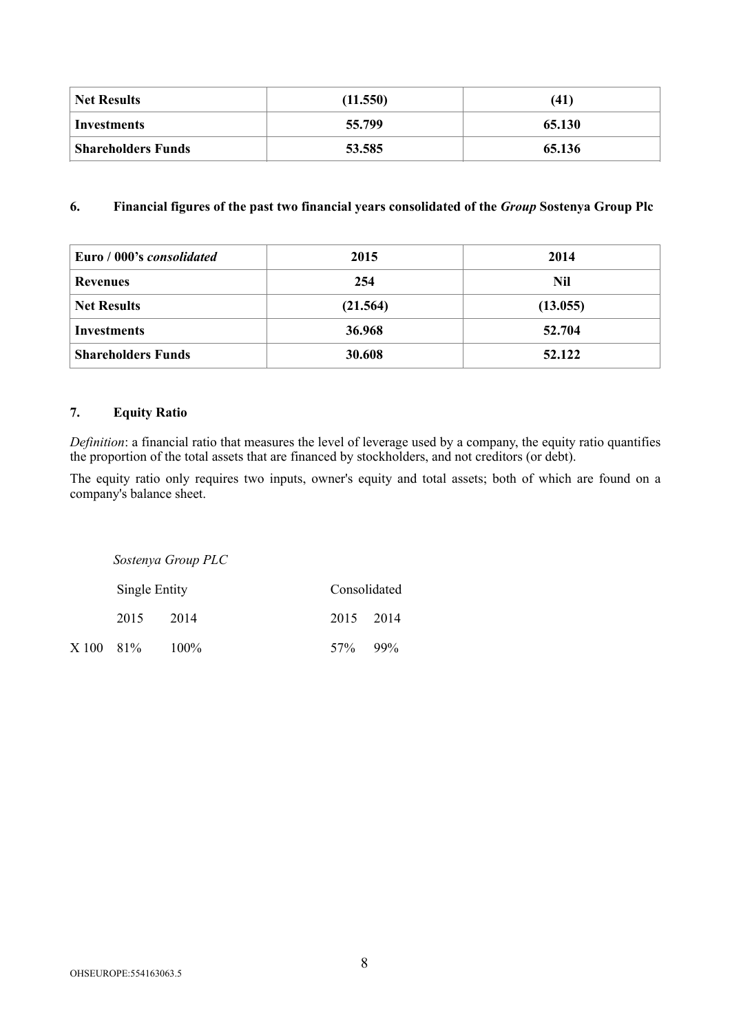| <b>Net Results</b>        | (11.550) | (41)   |  |
|---------------------------|----------|--------|--|
| Investments               | 55.799   | 65.130 |  |
| <b>Shareholders Funds</b> | 53.585   | 65.136 |  |

# **6. Financial figures of the past two financial years consolidated of the** *Group* **Sostenya Group Plc**

| Euro / 000's <i>consolidated</i> | 2015     | 2014     |
|----------------------------------|----------|----------|
| <b>Revenues</b>                  | 254      | Nil      |
| <b>Net Results</b>               | (21.564) | (13.055) |
| <b>Investments</b>               | 36.968   | 52.704   |
| <b>Shareholders Funds</b>        | 30.608   | 52.122   |

# **7. Equity Ratio**

*Definition*: a financial ratio that measures the level of leverage used by a company, the equity ratio quantifies the proportion of the total assets that are financed by stockholders, and not creditors (or debt).

The equity ratio only requires two inputs, owner's equity and total assets; both of which are found on a company's balance sheet.

|           |               | Sostenya Group PLC |              |        |
|-----------|---------------|--------------------|--------------|--------|
|           | Single Entity |                    | Consolidated |        |
|           | 2015          | 2014               | 2015 2014    |        |
| X 100 81% |               | $100\%$            | 57%          | $99\%$ |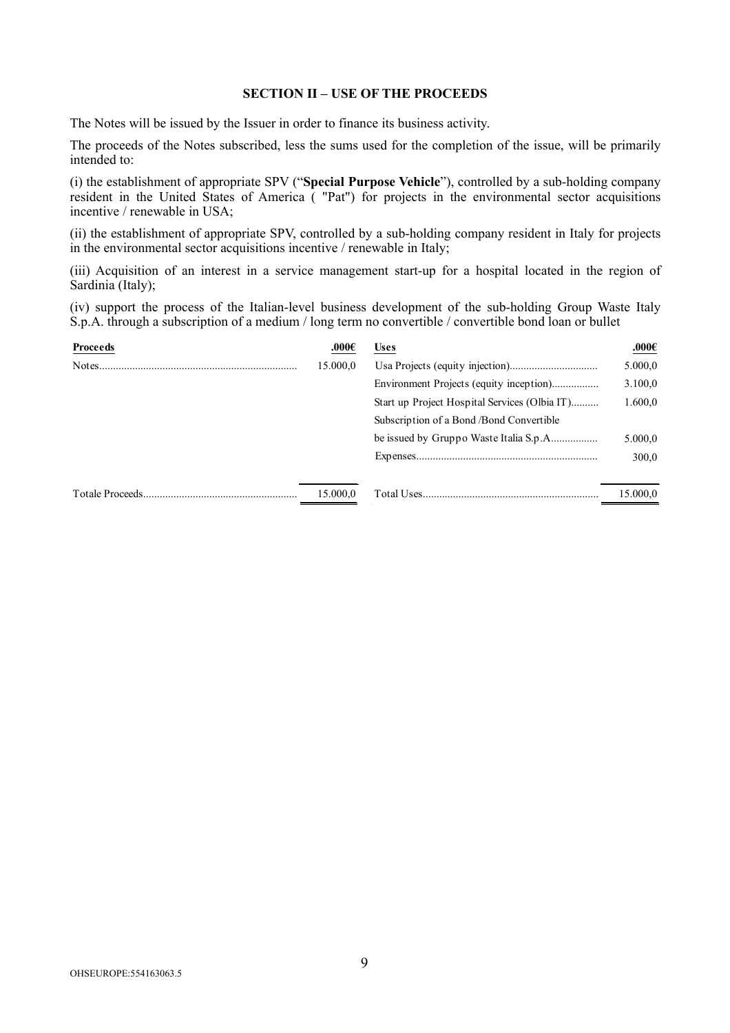#### **SECTION II – USE OF THE PROCEEDS**

The Notes will be issued by the Issuer in order to finance its business activity.

The proceeds of the Notes subscribed, less the sums used for the completion of the issue, will be primarily intended to:

(i) the establishment of appropriate SPV ("**Special Purpose Vehicle**"), controlled by a sub-holding company resident in the United States of America ( "Pat") for projects in the environmental sector acquisitions incentive / renewable in USA;

(ii) the establishment of appropriate SPV, controlled by a sub-holding company resident in Italy for projects in the environmental sector acquisitions incentive / renewable in Italy;

(iii) Acquisition of an interest in a service management start-up for a hospital located in the region of Sardinia (Italy);

(iv) support the process of the Italian-level business development of the sub-holding Group Waste Italy S.p.A. through a subscription of a medium / long term no convertible / convertible bond loan or bullet

| .000 $\epsilon$ | <b>Uses</b>                                   | $.000\epsilon$ |
|-----------------|-----------------------------------------------|----------------|
| 15.000,0        |                                               | 5.000,0        |
|                 |                                               | 3.100,0        |
|                 | Start up Project Hospital Services (Olbia IT) | 1.600,0        |
|                 | Subscription of a Bond / Bond Convertible     |                |
|                 |                                               | 5.000,0        |
|                 |                                               | 300,0          |
|                 |                                               |                |
| 15.000,0        |                                               | 15.000,0       |
|                 |                                               |                |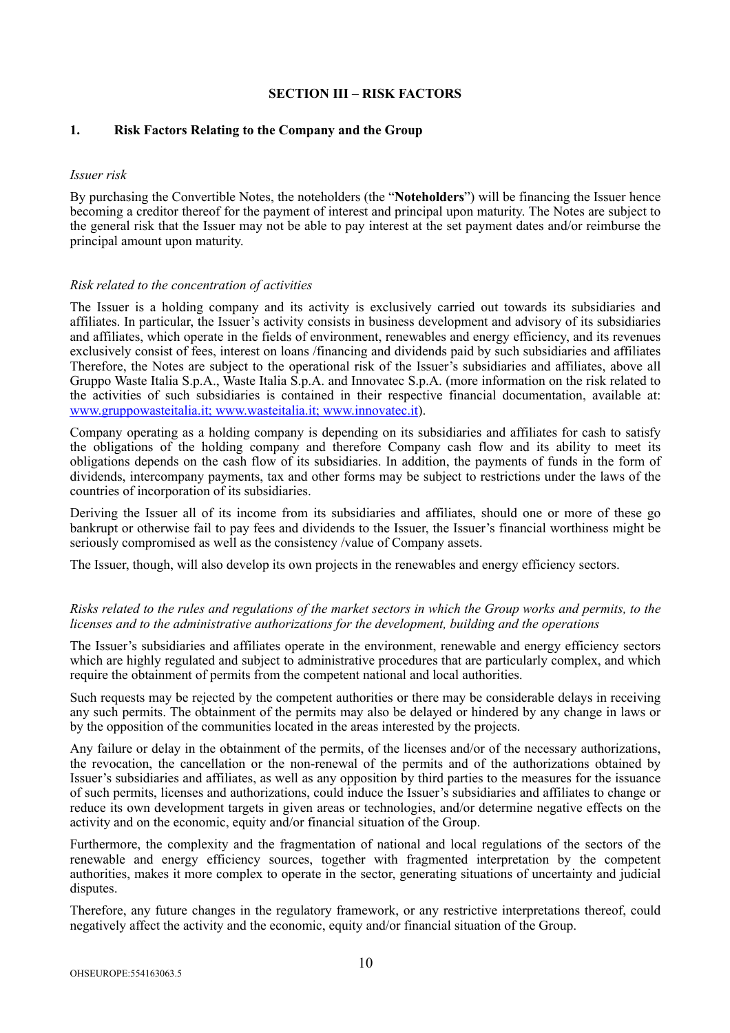# **SECTION III – RISK FACTORS**

### **1. Risk Factors Relating to the Company and the Group**

#### *Issuer risk*

By purchasing the Convertible Notes, the noteholders (the "**Noteholders**") will be financing the Issuer hence becoming a creditor thereof for the payment of interest and principal upon maturity. The Notes are subject to the general risk that the Issuer may not be able to pay interest at the set payment dates and/or reimburse the principal amount upon maturity.

#### *Risk related to the concentration of activities*

The Issuer is a holding company and its activity is exclusively carried out towards its subsidiaries and affiliates. In particular, the Issuer's activity consists in business development and advisory of its subsidiaries and affiliates, which operate in the fields of environment, renewables and energy efficiency, and its revenues exclusively consist of fees, interest on loans /financing and dividends paid by such subsidiaries and affiliates Therefore, the Notes are subject to the operational risk of the Issuer's subsidiaries and affiliates, above all Gruppo Waste Italia S.p.A., Waste Italia S.p.A. and Innovatec S.p.A. (more information on the risk related to the activities of such subsidiaries is contained in their respective financial documentation, available at: [www.gruppowasteitalia.it;](http://www.gruppowasteitalia.it) [www.wasteitalia.it](http://www.wasteitalia.it); [www.innovatec.it](http://www.innovatec.it)).

Company operating as a holding company is depending on its subsidiaries and affiliates for cash to satisfy the obligations of the holding company and therefore Company cash flow and its ability to meet its obligations depends on the cash flow of its subsidiaries. In addition, the payments of funds in the form of dividends, intercompany payments, tax and other forms may be subject to restrictions under the laws of the countries of incorporation of its subsidiaries.

Deriving the Issuer all of its income from its subsidiaries and affiliates, should one or more of these go bankrupt or otherwise fail to pay fees and dividends to the Issuer, the Issuer's financial worthiness might be seriously compromised as well as the consistency /value of Company assets.

The Issuer, though, will also develop its own projects in the renewables and energy efficiency sectors.

### *Risks related to the rules and regulations of the market sectors in which the Group works and permits, to the licenses and to the administrative authorizations for the development, building and the operations*

The Issuer's subsidiaries and affiliates operate in the environment, renewable and energy efficiency sectors which are highly regulated and subject to administrative procedures that are particularly complex, and which require the obtainment of permits from the competent national and local authorities.

Such requests may be rejected by the competent authorities or there may be considerable delays in receiving any such permits. The obtainment of the permits may also be delayed or hindered by any change in laws or by the opposition of the communities located in the areas interested by the projects.

Any failure or delay in the obtainment of the permits, of the licenses and/or of the necessary authorizations, the revocation, the cancellation or the non-renewal of the permits and of the authorizations obtained by Issuer's subsidiaries and affiliates, as well as any opposition by third parties to the measures for the issuance of such permits, licenses and authorizations, could induce the Issuer's subsidiaries and affiliates to change or reduce its own development targets in given areas or technologies, and/or determine negative effects on the activity and on the economic, equity and/or financial situation of the Group.

Furthermore, the complexity and the fragmentation of national and local regulations of the sectors of the renewable and energy efficiency sources, together with fragmented interpretation by the competent authorities, makes it more complex to operate in the sector, generating situations of uncertainty and judicial disputes.

Therefore, any future changes in the regulatory framework, or any restrictive interpretations thereof, could negatively affect the activity and the economic, equity and/or financial situation of the Group.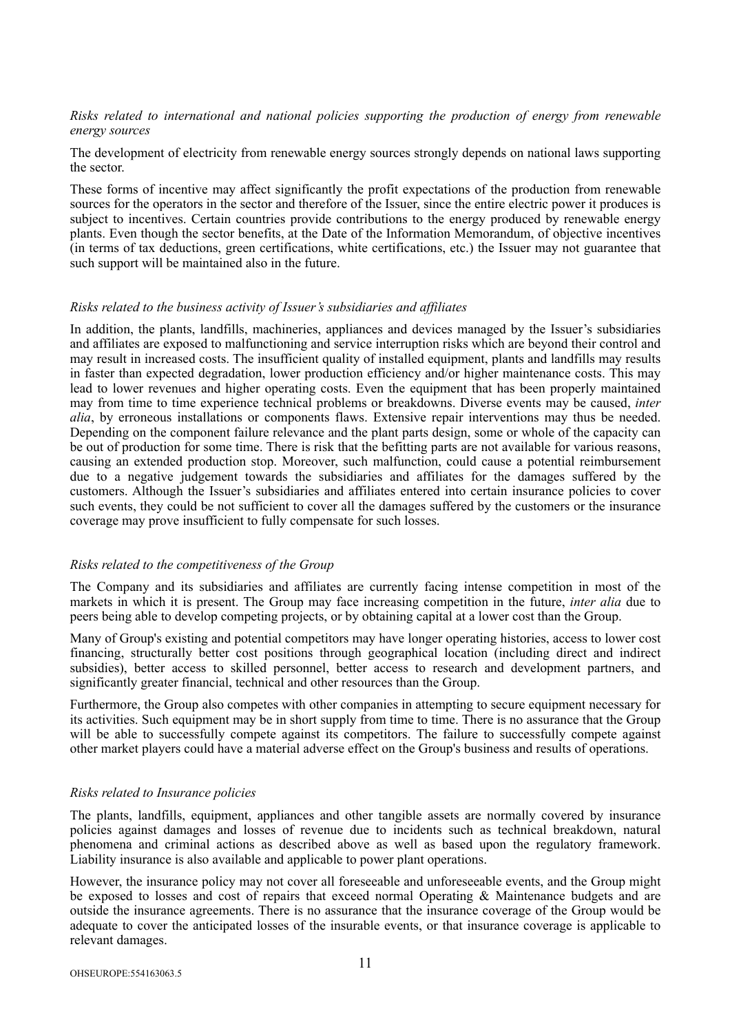### *Risks related to international and national policies supporting the production of energy from renewable energy sources*

The development of electricity from renewable energy sources strongly depends on national laws supporting the sector.

These forms of incentive may affect significantly the profit expectations of the production from renewable sources for the operators in the sector and therefore of the Issuer, since the entire electric power it produces is subject to incentives. Certain countries provide contributions to the energy produced by renewable energy plants. Even though the sector benefits, at the Date of the Information Memorandum, of objective incentives (in terms of tax deductions, green certifications, white certifications, etc.) the Issuer may not guarantee that such support will be maintained also in the future.

#### *Risks related to the business activity of Issuer's subsidiaries and affiliates*

In addition, the plants, landfills, machineries, appliances and devices managed by the Issuer's subsidiaries and affiliates are exposed to malfunctioning and service interruption risks which are beyond their control and may result in increased costs. The insufficient quality of installed equipment, plants and landfills may results in faster than expected degradation, lower production efficiency and/or higher maintenance costs. This may lead to lower revenues and higher operating costs. Even the equipment that has been properly maintained may from time to time experience technical problems or breakdowns. Diverse events may be caused, *inter alia*, by erroneous installations or components flaws. Extensive repair interventions may thus be needed. Depending on the component failure relevance and the plant parts design, some or whole of the capacity can be out of production for some time. There is risk that the befitting parts are not available for various reasons, causing an extended production stop. Moreover, such malfunction, could cause a potential reimbursement due to a negative judgement towards the subsidiaries and affiliates for the damages suffered by the customers. Although the Issuer's subsidiaries and affiliates entered into certain insurance policies to cover such events, they could be not sufficient to cover all the damages suffered by the customers or the insurance coverage may prove insufficient to fully compensate for such losses.

#### *Risks related to the competitiveness of the Group*

The Company and its subsidiaries and affiliates are currently facing intense competition in most of the markets in which it is present. The Group may face increasing competition in the future, *inter alia* due to peers being able to develop competing projects, or by obtaining capital at a lower cost than the Group.

Many of Group's existing and potential competitors may have longer operating histories, access to lower cost financing, structurally better cost positions through geographical location (including direct and indirect subsidies), better access to skilled personnel, better access to research and development partners, and significantly greater financial, technical and other resources than the Group.

Furthermore, the Group also competes with other companies in attempting to secure equipment necessary for its activities. Such equipment may be in short supply from time to time. There is no assurance that the Group will be able to successfully compete against its competitors. The failure to successfully compete against other market players could have a material adverse effect on the Group's business and results of operations.

# *Risks related to Insurance policies*

The plants, landfills, equipment, appliances and other tangible assets are normally covered by insurance policies against damages and losses of revenue due to incidents such as technical breakdown, natural phenomena and criminal actions as described above as well as based upon the regulatory framework. Liability insurance is also available and applicable to power plant operations.

However, the insurance policy may not cover all foreseeable and unforeseeable events, and the Group might be exposed to losses and cost of repairs that exceed normal Operating & Maintenance budgets and are outside the insurance agreements. There is no assurance that the insurance coverage of the Group would be adequate to cover the anticipated losses of the insurable events, or that insurance coverage is applicable to relevant damages.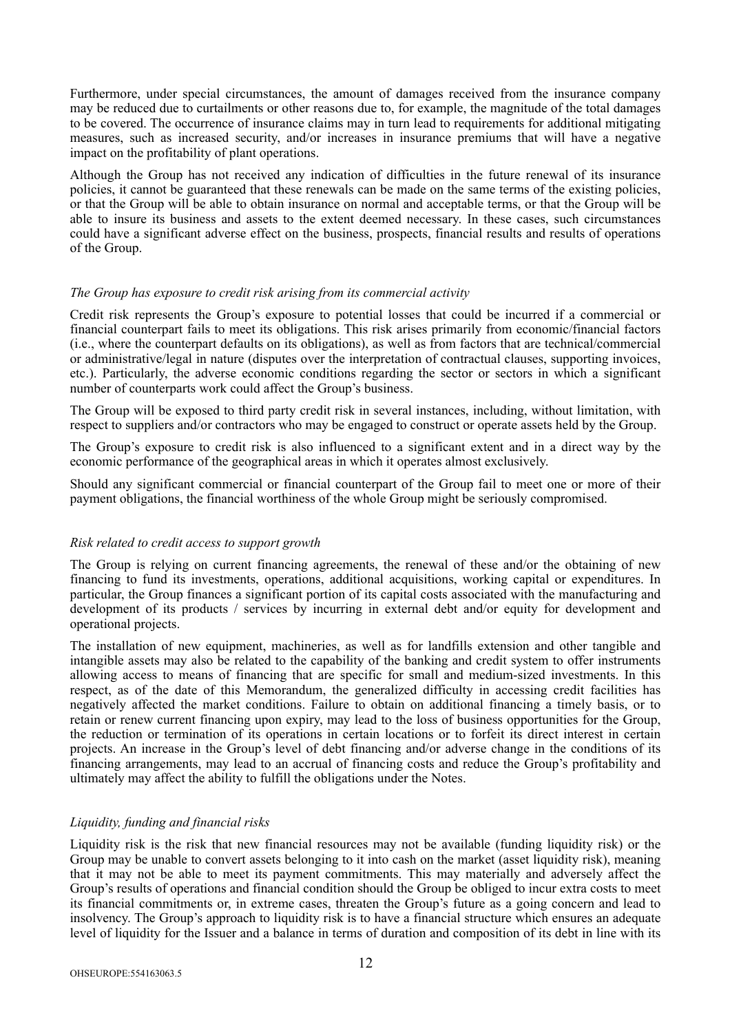Furthermore, under special circumstances, the amount of damages received from the insurance company may be reduced due to curtailments or other reasons due to, for example, the magnitude of the total damages to be covered. The occurrence of insurance claims may in turn lead to requirements for additional mitigating measures, such as increased security, and/or increases in insurance premiums that will have a negative impact on the profitability of plant operations.

Although the Group has not received any indication of difficulties in the future renewal of its insurance policies, it cannot be guaranteed that these renewals can be made on the same terms of the existing policies, or that the Group will be able to obtain insurance on normal and acceptable terms, or that the Group will be able to insure its business and assets to the extent deemed necessary. In these cases, such circumstances could have a significant adverse effect on the business, prospects, financial results and results of operations of the Group.

#### *The Group has exposure to credit risk arising from its commercial activity*

Credit risk represents the Group's exposure to potential losses that could be incurred if a commercial or financial counterpart fails to meet its obligations. This risk arises primarily from economic/financial factors (i.e., where the counterpart defaults on its obligations), as well as from factors that are technical/commercial or administrative/legal in nature (disputes over the interpretation of contractual clauses, supporting invoices, etc.). Particularly, the adverse economic conditions regarding the sector or sectors in which a significant number of counterparts work could affect the Group's business.

The Group will be exposed to third party credit risk in several instances, including, without limitation, with respect to suppliers and/or contractors who may be engaged to construct or operate assets held by the Group.

The Group's exposure to credit risk is also influenced to a significant extent and in a direct way by the economic performance of the geographical areas in which it operates almost exclusively.

Should any significant commercial or financial counterpart of the Group fail to meet one or more of their payment obligations, the financial worthiness of the whole Group might be seriously compromised.

# *Risk related to credit access to support growth*

The Group is relying on current financing agreements, the renewal of these and/or the obtaining of new financing to fund its investments, operations, additional acquisitions, working capital or expenditures. In particular, the Group finances a significant portion of its capital costs associated with the manufacturing and development of its products / services by incurring in external debt and/or equity for development and operational projects.

The installation of new equipment, machineries, as well as for landfills extension and other tangible and intangible assets may also be related to the capability of the banking and credit system to offer instruments allowing access to means of financing that are specific for small and medium-sized investments. In this respect, as of the date of this Memorandum, the generalized difficulty in accessing credit facilities has negatively affected the market conditions. Failure to obtain on additional financing a timely basis, or to retain or renew current financing upon expiry, may lead to the loss of business opportunities for the Group, the reduction or termination of its operations in certain locations or to forfeit its direct interest in certain projects. An increase in the Group's level of debt financing and/or adverse change in the conditions of its financing arrangements, may lead to an accrual of financing costs and reduce the Group's profitability and ultimately may affect the ability to fulfill the obligations under the Notes.

# *Liquidity, funding and financial risks*

Liquidity risk is the risk that new financial resources may not be available (funding liquidity risk) or the Group may be unable to convert assets belonging to it into cash on the market (asset liquidity risk), meaning that it may not be able to meet its payment commitments. This may materially and adversely affect the Group's results of operations and financial condition should the Group be obliged to incur extra costs to meet its financial commitments or, in extreme cases, threaten the Group's future as a going concern and lead to insolvency. The Group's approach to liquidity risk is to have a financial structure which ensures an adequate level of liquidity for the Issuer and a balance in terms of duration and composition of its debt in line with its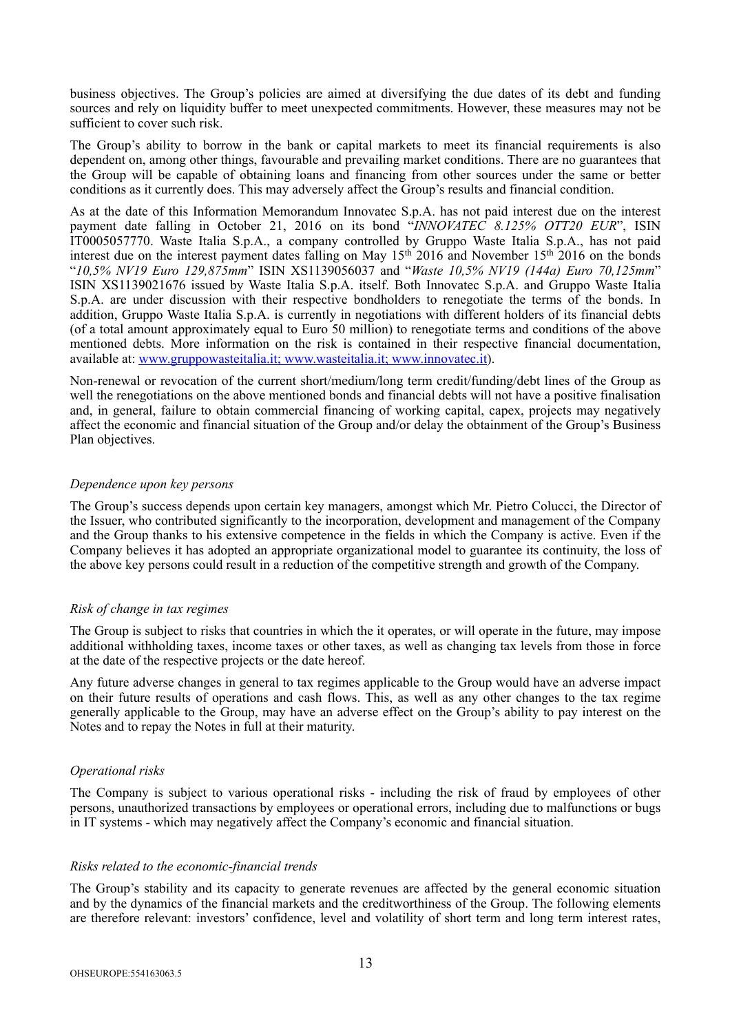business objectives. The Group's policies are aimed at diversifying the due dates of its debt and funding sources and rely on liquidity buffer to meet unexpected commitments. However, these measures may not be sufficient to cover such risk.

The Group's ability to borrow in the bank or capital markets to meet its financial requirements is also dependent on, among other things, favourable and prevailing market conditions. There are no guarantees that the Group will be capable of obtaining loans and financing from other sources under the same or better conditions as it currently does. This may adversely affect the Group's results and financial condition.

As at the date of this Information Memorandum Innovatec S.p.A. has not paid interest due on the interest payment date falling in October 21, 2016 on its bond "*INNOVATEC 8.125% OTT20 EUR*", ISIN IT0005057770. Waste Italia S.p.A., a company controlled by Gruppo Waste Italia S.p.A., has not paid interest due on the interest payment dates falling on May 15<sup>th</sup> 2016 and November 15<sup>th</sup> 2016 on the bonds "*10,5% NV19 Euro 129,875mm*" ISIN XS1139056037 and "*Waste 10,5% NV19 (144a) Euro 70,125mm*" ISIN XS1139021676 issued by Waste Italia S.p.A. itself. Both Innovatec S.p.A. and Gruppo Waste Italia S.p.A. are under discussion with their respective bondholders to renegotiate the terms of the bonds. In addition, Gruppo Waste Italia S.p.A. is currently in negotiations with different holders of its financial debts (of a total amount approximately equal to Euro 50 million) to renegotiate terms and conditions of the above mentioned debts. More information on the risk is contained in their respective financial documentation, available at: [www.gruppowasteitalia.it](http://www.gruppowasteitalia.it); [www.wasteitalia.it](http://www.wasteitalia.it); [www.innovatec.it\)](http://www.innovatec.it).

Non-renewal or revocation of the current short/medium/long term credit/funding/debt lines of the Group as well the renegotiations on the above mentioned bonds and financial debts will not have a positive finalisation and, in general, failure to obtain commercial financing of working capital, capex, projects may negatively affect the economic and financial situation of the Group and/or delay the obtainment of the Group's Business Plan objectives.

### *Dependence upon key persons*

The Group's success depends upon certain key managers, amongst which Mr. Pietro Colucci, the Director of the Issuer, who contributed significantly to the incorporation, development and management of the Company and the Group thanks to his extensive competence in the fields in which the Company is active. Even if the Company believes it has adopted an appropriate organizational model to guarantee its continuity, the loss of the above key persons could result in a reduction of the competitive strength and growth of the Company.

#### *Risk of change in tax regimes*

The Group is subject to risks that countries in which the it operates, or will operate in the future, may impose additional withholding taxes, income taxes or other taxes, as well as changing tax levels from those in force at the date of the respective projects or the date hereof.

Any future adverse changes in general to tax regimes applicable to the Group would have an adverse impact on their future results of operations and cash flows. This, as well as any other changes to the tax regime generally applicable to the Group, may have an adverse effect on the Group's ability to pay interest on the Notes and to repay the Notes in full at their maturity.

# *Operational risks*

The Company is subject to various operational risks - including the risk of fraud by employees of other persons, unauthorized transactions by employees or operational errors, including due to malfunctions or bugs in IT systems - which may negatively affect the Company's economic and financial situation.

#### *Risks related to the economic-financial trends*

The Group's stability and its capacity to generate revenues are affected by the general economic situation and by the dynamics of the financial markets and the creditworthiness of the Group. The following elements are therefore relevant: investors' confidence, level and volatility of short term and long term interest rates,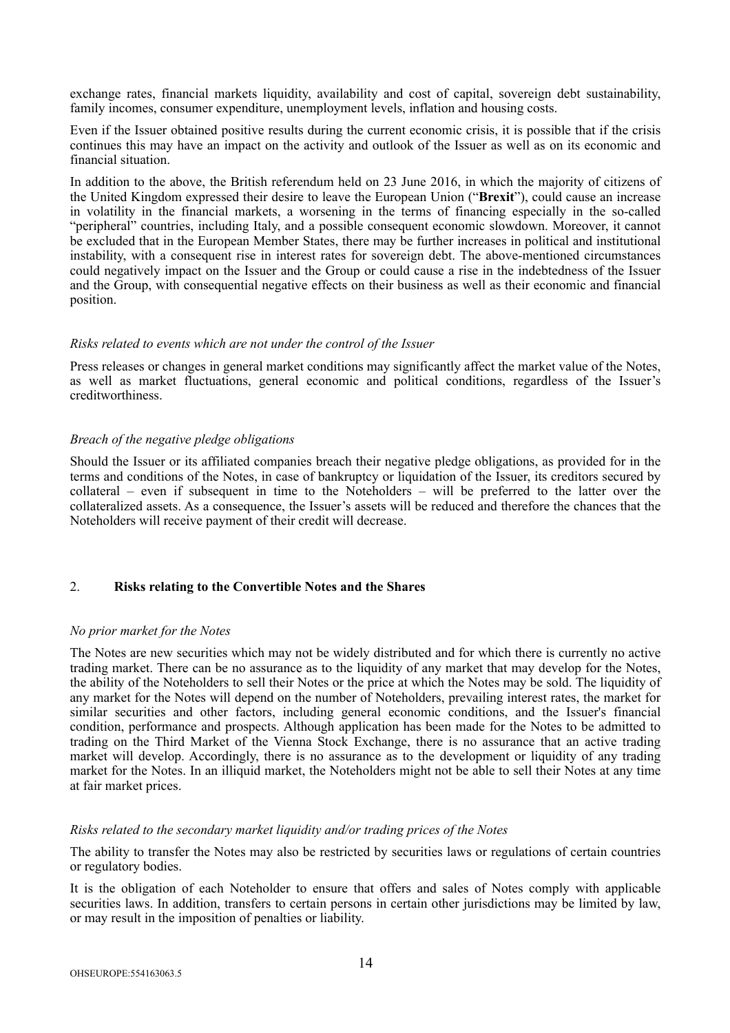exchange rates, financial markets liquidity, availability and cost of capital, sovereign debt sustainability, family incomes, consumer expenditure, unemployment levels, inflation and housing costs.

Even if the Issuer obtained positive results during the current economic crisis, it is possible that if the crisis continues this may have an impact on the activity and outlook of the Issuer as well as on its economic and financial situation.

In addition to the above, the British referendum held on 23 June 2016, in which the majority of citizens of the United Kingdom expressed their desire to leave the European Union ("**Brexit**"), could cause an increase in volatility in the financial markets, a worsening in the terms of financing especially in the so-called "peripheral" countries, including Italy, and a possible consequent economic slowdown. Moreover, it cannot be excluded that in the European Member States, there may be further increases in political and institutional instability, with a consequent rise in interest rates for sovereign debt. The above-mentioned circumstances could negatively impact on the Issuer and the Group or could cause a rise in the indebtedness of the Issuer and the Group, with consequential negative effects on their business as well as their economic and financial position.

#### *Risks related to events which are not under the control of the Issuer*

Press releases or changes in general market conditions may significantly affect the market value of the Notes, as well as market fluctuations, general economic and political conditions, regardless of the Issuer's creditworthiness.

### *Breach of the negative pledge obligations*

Should the Issuer or its affiliated companies breach their negative pledge obligations, as provided for in the terms and conditions of the Notes, in case of bankruptcy or liquidation of the Issuer, its creditors secured by collateral – even if subsequent in time to the Noteholders – will be preferred to the latter over the collateralized assets. As a consequence, the Issuer's assets will be reduced and therefore the chances that the Noteholders will receive payment of their credit will decrease.

# 2. **Risks relating to the Convertible Notes and the Shares**

# *No prior market for the Notes*

The Notes are new securities which may not be widely distributed and for which there is currently no active trading market. There can be no assurance as to the liquidity of any market that may develop for the Notes, the ability of the Noteholders to sell their Notes or the price at which the Notes may be sold. The liquidity of any market for the Notes will depend on the number of Noteholders, prevailing interest rates, the market for similar securities and other factors, including general economic conditions, and the Issuer's financial condition, performance and prospects. Although application has been made for the Notes to be admitted to trading on the Third Market of the Vienna Stock Exchange, there is no assurance that an active trading market will develop. Accordingly, there is no assurance as to the development or liquidity of any trading market for the Notes. In an illiquid market, the Noteholders might not be able to sell their Notes at any time at fair market prices.

# *Risks related to the secondary market liquidity and/or trading prices of the Notes*

The ability to transfer the Notes may also be restricted by securities laws or regulations of certain countries or regulatory bodies.

It is the obligation of each Noteholder to ensure that offers and sales of Notes comply with applicable securities laws. In addition, transfers to certain persons in certain other jurisdictions may be limited by law, or may result in the imposition of penalties or liability.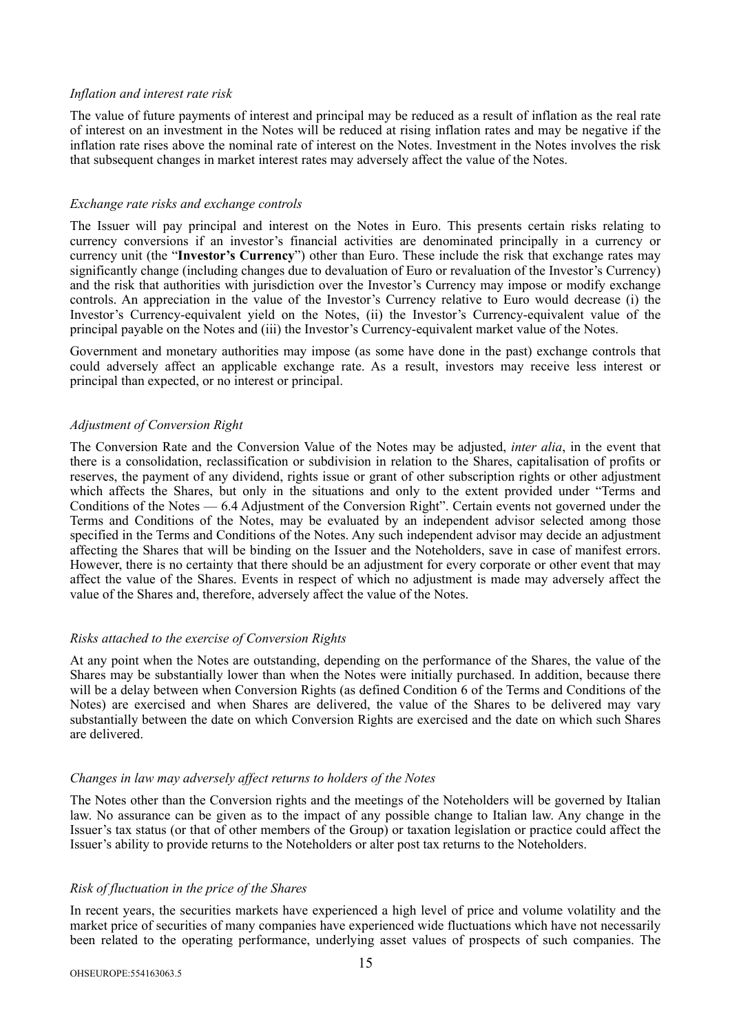#### *Inflation and interest rate risk*

The value of future payments of interest and principal may be reduced as a result of inflation as the real rate of interest on an investment in the Notes will be reduced at rising inflation rates and may be negative if the inflation rate rises above the nominal rate of interest on the Notes. Investment in the Notes involves the risk that subsequent changes in market interest rates may adversely affect the value of the Notes.

#### *Exchange rate risks and exchange controls*

The Issuer will pay principal and interest on the Notes in Euro. This presents certain risks relating to currency conversions if an investor's financial activities are denominated principally in a currency or currency unit (the "**Investor's Currency**") other than Euro. These include the risk that exchange rates may significantly change (including changes due to devaluation of Euro or revaluation of the Investor's Currency) and the risk that authorities with jurisdiction over the Investor's Currency may impose or modify exchange controls. An appreciation in the value of the Investor's Currency relative to Euro would decrease (i) the Investor's Currency-equivalent yield on the Notes, (ii) the Investor's Currency-equivalent value of the principal payable on the Notes and (iii) the Investor's Currency-equivalent market value of the Notes.

Government and monetary authorities may impose (as some have done in the past) exchange controls that could adversely affect an applicable exchange rate. As a result, investors may receive less interest or principal than expected, or no interest or principal.

### *Adjustment of Conversion Right*

The Conversion Rate and the Conversion Value of the Notes may be adjusted, *inter alia*, in the event that there is a consolidation, reclassification or subdivision in relation to the Shares, capitalisation of profits or reserves, the payment of any dividend, rights issue or grant of other subscription rights or other adjustment which affects the Shares, but only in the situations and only to the extent provided under "Terms and Conditions of the Notes — 6.4 Adjustment of the Conversion Right". Certain events not governed under the Terms and Conditions of the Notes, may be evaluated by an independent advisor selected among those specified in the Terms and Conditions of the Notes. Any such independent advisor may decide an adjustment affecting the Shares that will be binding on the Issuer and the Noteholders, save in case of manifest errors. However, there is no certainty that there should be an adjustment for every corporate or other event that may affect the value of the Shares. Events in respect of which no adjustment is made may adversely affect the value of the Shares and, therefore, adversely affect the value of the Notes.

# *Risks attached to the exercise of Conversion Rights*

At any point when the Notes are outstanding, depending on the performance of the Shares, the value of the Shares may be substantially lower than when the Notes were initially purchased. In addition, because there will be a delay between when Conversion Rights (as defined Condition 6 of the Terms and Conditions of the Notes) are exercised and when Shares are delivered, the value of the Shares to be delivered may vary substantially between the date on which Conversion Rights are exercised and the date on which such Shares are delivered.

#### *Changes in law may adversely affect returns to holders of the Notes*

The Notes other than the Conversion rights and the meetings of the Noteholders will be governed by Italian law. No assurance can be given as to the impact of any possible change to Italian law. Any change in the Issuer's tax status (or that of other members of the Group) or taxation legislation or practice could affect the Issuer's ability to provide returns to the Noteholders or alter post tax returns to the Noteholders.

# *Risk of fluctuation in the price of the Shares*

In recent years, the securities markets have experienced a high level of price and volume volatility and the market price of securities of many companies have experienced wide fluctuations which have not necessarily been related to the operating performance, underlying asset values of prospects of such companies. The